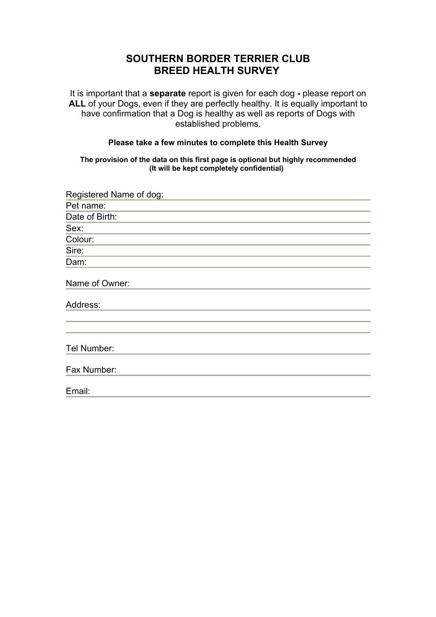## **SOUTHERN BORDER TERRIER CLUB BREED HEALTH SURVEY**

It is important that a **separate** report is given for each dog **-** please report on **ALL** of your Dogs, even if they are perfectly healthy. It is equally important to have confirmation that a Dog is healthy as well as reports of Dogs with established problems.

## **Please take a few minutes to complete this Health Survey**

**The provision of the data on this first page is optional but highly recommended (It will be kept completely confidential)**

| Registered Name of dog: |  |  |  |
|-------------------------|--|--|--|
| Pet name:               |  |  |  |
| Date of Birth:          |  |  |  |
| Sex:                    |  |  |  |
| Colour:                 |  |  |  |
| Sire:                   |  |  |  |
| Dam:                    |  |  |  |
| Name of Owner:          |  |  |  |
| Address:                |  |  |  |
|                         |  |  |  |
| Tel Number:             |  |  |  |
| Fax Number:             |  |  |  |
| Email:                  |  |  |  |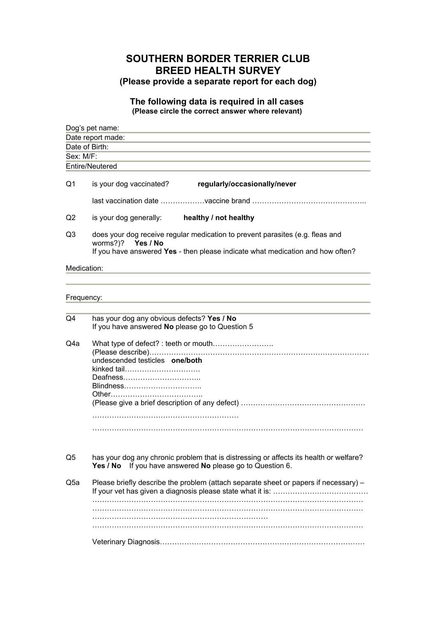## **SOUTHERN BORDER TERRIER CLUB BREED HEALTH SURVEY (Please provide a separate report for each dog)**

## **The following data is required in all cases (Please circle the correct answer where relevant)**

| Dog's pet name:<br>Date report made:<br>Date of Birth: |                                                                                                                                                                                         |  |  |  |           |                 |
|--------------------------------------------------------|-----------------------------------------------------------------------------------------------------------------------------------------------------------------------------------------|--|--|--|-----------|-----------------|
|                                                        |                                                                                                                                                                                         |  |  |  | Sex: M/F: |                 |
|                                                        |                                                                                                                                                                                         |  |  |  |           | Entire/Neutered |
|                                                        |                                                                                                                                                                                         |  |  |  |           |                 |
| Q1                                                     | is your dog vaccinated?<br>regularly/occasionally/never                                                                                                                                 |  |  |  |           |                 |
|                                                        |                                                                                                                                                                                         |  |  |  |           |                 |
| Q2                                                     | is your dog generally: healthy / not healthy                                                                                                                                            |  |  |  |           |                 |
| Q <sub>3</sub>                                         | does your dog receive regular medication to prevent parasites (e.g. fleas and<br>worms?)?<br>Yes / No<br>If you have answered Yes - then please indicate what medication and how often? |  |  |  |           |                 |
|                                                        |                                                                                                                                                                                         |  |  |  |           |                 |
| Medication:                                            |                                                                                                                                                                                         |  |  |  |           |                 |
|                                                        |                                                                                                                                                                                         |  |  |  |           |                 |
|                                                        |                                                                                                                                                                                         |  |  |  |           |                 |
| Frequency:                                             |                                                                                                                                                                                         |  |  |  |           |                 |
|                                                        |                                                                                                                                                                                         |  |  |  |           |                 |
|                                                        |                                                                                                                                                                                         |  |  |  |           |                 |
| Q4                                                     | has your dog any obvious defects? Yes / No<br>If you have answered No please go to Question 5                                                                                           |  |  |  |           |                 |
| Q4a                                                    |                                                                                                                                                                                         |  |  |  |           |                 |
|                                                        |                                                                                                                                                                                         |  |  |  |           |                 |
|                                                        | undescended testicles one/both                                                                                                                                                          |  |  |  |           |                 |
|                                                        | kinked tail                                                                                                                                                                             |  |  |  |           |                 |
|                                                        | Deafness                                                                                                                                                                                |  |  |  |           |                 |
|                                                        |                                                                                                                                                                                         |  |  |  |           |                 |
|                                                        |                                                                                                                                                                                         |  |  |  |           |                 |
|                                                        |                                                                                                                                                                                         |  |  |  |           |                 |
|                                                        |                                                                                                                                                                                         |  |  |  |           |                 |
|                                                        |                                                                                                                                                                                         |  |  |  |           |                 |
|                                                        |                                                                                                                                                                                         |  |  |  |           |                 |
| Q5                                                     | has your dog any chronic problem that is distressing or affects its health or welfare?<br>If you have answered No please go to Question 6.<br>Yes / No                                  |  |  |  |           |                 |
| Q5a                                                    | Please briefly describe the problem (attach separate sheet or papers if necessary) -                                                                                                    |  |  |  |           |                 |
|                                                        |                                                                                                                                                                                         |  |  |  |           |                 |
|                                                        |                                                                                                                                                                                         |  |  |  |           |                 |
|                                                        |                                                                                                                                                                                         |  |  |  |           |                 |
|                                                        |                                                                                                                                                                                         |  |  |  |           |                 |
|                                                        |                                                                                                                                                                                         |  |  |  |           |                 |